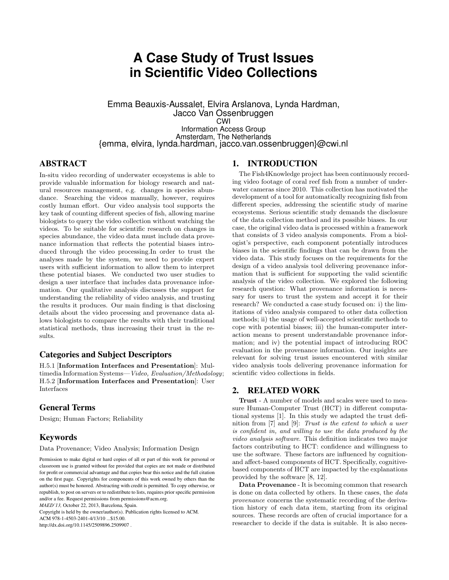# **A Case Study of Trust Issues in Scientific Video Collections**

Emma Beauxis-Aussalet, Elvira Arslanova, Lynda Hardman, Jacco Van Ossenbruggen CWI Information Access Group Amsterdam, The Netherlands {emma, elvira, lynda.hardman, jacco.van.ossenbruggen}@cwi.nl

## ABSTRACT

In-situ video recording of underwater ecosystems is able to provide valuable information for biology research and natural resources management, e.g. changes in species abundance. Searching the videos manually, however, requires costly human effort. Our video analysis tool supports the key task of counting different species of fish, allowing marine biologists to query the video collection without watching the videos. To be suitable for scientific research on changes in species abundance, the video data must include data provenance information that reflects the potential biases introduced through the video processing.In order to trust the analyses made by the system, we need to provide expert users with sufficient information to allow them to interpret these potential biases. We conducted two user studies to design a user interface that includes data provenance information. Our qualitative analysis discusses the support for understanding the reliability of video analysis, and trusting the results it produces. Our main finding is that disclosing details about the video processing and provenance data allows biologists to compare the results with their traditional statistical methods, thus increasing their trust in the results.

## Categories and Subject Descriptors

H.5.1 [Information Interfaces and Presentation]: Multimedia Information Systems—Video, Evaluation/Methodology; H.5.2 [Information Interfaces and Presentation]: User Interfaces

# General Terms

Design; Human Factors; Reliability

## Keywords

Data Provenance; Video Analysis; Information Design

Copyright is held by the owner/author(s). Publication rights licensed to ACM.

ACM 978-1-4503-2401-4/13/10 ...\$15.00.

http://dx.doi.org/10.1145/2509896.2509907 .

#### 1. INTRODUCTION

The Fish4Knowledge project has been continuously recording video footage of coral reef fish from a number of underwater cameras since 2010. This collection has motivated the development of a tool for automatically recognizing fish from different species, addressing the scientific study of marine ecosystems. Serious scientific study demands the disclosure of the data collection method and its possible biases. In our case, the original video data is processed within a framework that consists of 3 video analysis components. From a biologist's perspective, each component potentially introduces biases in the scientific findings that can be drawn from the video data. This study focuses on the requirements for the design of a video analysis tool delivering provenance information that is sufficient for supporting the valid scientific analysis of the video collection. We explored the following research question: What provenance information is necessary for users to trust the system and accept it for their research? We conducted a case study focused on: i) the limitations of video analysis compared to other data collection methods; ii) the usage of well-accepted scientific methods to cope with potential biases; iii) the human-computer interaction means to present understandable provenance information; and iv) the potential impact of introducing ROC evaluation in the provenance information. Our insights are relevant for solving trust issues encountered with similar video analysis tools delivering provenance information for scientific video collections in fields.

#### 2. RELATED WORK

Trust - A number of models and scales were used to measure Human-Computer Trust (HCT) in different computational systems [1]. In this study we adapted the trust definition from [7] and [9]: Trust is the extent to which a user is confident in, and willing to use the data produced by the video analysis software. This definition indicates two major factors contributing to HCT: confidence and willingness to use the software. These factors are influenced by cognitionand affect-based components of HCT. Specifically, cognitivebased components of HCT are impacted by the explanations provided by the software [8, 12].

Data Provenance - It is becoming common that research is done on data collected by others. In these cases, the data provenance concerns the systematic recording of the derivation history of each data item, starting from its original sources. These records are often of crucial importance for a researcher to decide if the data is suitable. It is also neces-

Permission to make digital or hard copies of all or part of this work for personal or classroom use is granted without fee provided that copies are not made or distributed for profit or commercial advantage and that copies bear this notice and the full citation on the first page. Copyrights for components of this work owned by others than the author(s) must be honored. Abstracting with credit is permitted. To copy otherwise, or republish, to post on servers or to redistribute to lists, requires prior specific permission and/or a fee. Request permissions from permissions@acm.org. *MAED'13,* October 22, 2013, Barcelona, Spain.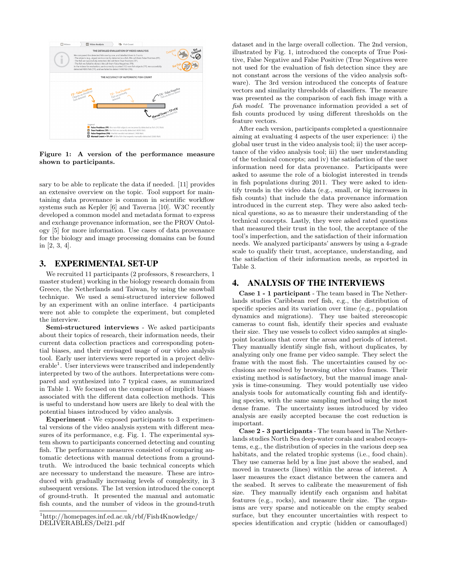

Figure 1: A version of the performance measure shown to participants.

sary to be able to replicate the data if needed. [11] provides an extensive overview on the topic. Tool support for maintaining data provenance is common in scientific workflow systems such as Kepler [6] and Taverna [10]. W3C recently developed a common model and metadata format to express and exchange provenance information, see the PROV Ontology [5] for more information. Use cases of data provenance for the biology and image processing domains can be found in [2, 3, 4].

#### 3. EXPERIMENTAL SET-UP

We recruited 11 participants (2 professors, 8 researchers, 1 master student) working in the biology research domain from Greece, the Netherlands and Taiwan, by using the snowball technique. We used a semi-structured interview followed by an experiment with an online interface. 4 participants were not able to complete the experiment, but completed the interview.

Semi-structured interviews - We asked participants about their topics of research, their information needs, their current data collection practices and corresponding potential biases, and their envisaged usage of our video analysis tool. Early user interviews were reported in a project deliverable<sup>1</sup>. User interviews were transcribed and independently interpreted by two of the authors. Interpretations were compared and synthesized into 7 typical cases, as summarized in Table 1. We focused on the comparison of implicit biases associated with the different data collection methods. This is useful to understand how users are likely to deal with the potential biases introduced by video analysis.

Experiment - We exposed participants to 3 experimental versions of the video analysis system with different measures of its performance, e.g. Fig. 1. The experimental system shown to participants concerned detecting and counting fish. The performance measures consisted of comparing automatic detections with manual detections from a groundtruth. We introduced the basic technical concepts which are necessary to understand the measure. These are introduced with gradually increasing levels of complexity, in 3 subsequent versions. The 1st version introduced the concept of ground-truth. It presented the manual and automatic fish counts, and the number of videos in the ground-truth dataset and in the large overall collection. The 2nd version, illustrated by Fig. 1, introduced the concepts of True Positive, False Negative and False Positive (True Negatives were not used for the evaluation of fish detection since they are not constant across the versions of the video analysis software). The 3rd version introduced the concepts of feature vectors and similarity thresholds of classifiers. The measure was presented as the comparison of each fish image with a fish model. The provenance information provided a set of fish counts produced by using different thresholds on the feature vectors.

After each version, participants completed a questionnaire aiming at evaluating 4 aspects of the user experience: i) the global user trust in the video analysis tool; ii) the user acceptance of the video analysis tool; iii) the user understanding of the technical concepts; and iv) the satisfaction of the user information need for data provenance. Participants were asked to assume the role of a biologist interested in trends in fish populations during 2011. They were asked to identify trends in the video data (e.g., small, or big increases in fish counts) that include the data provenance information introduced in the current step. They were also asked technical questions, so as to measure their understanding of the technical concepts. Lastly, they were asked rated questions that measured their trust in the tool, the acceptance of the tool's imperfection, and the satisfaction of their information needs. We analyzed participants' answers by using a 4-grade scale to qualify their trust, acceptance, understanding, and the satisfaction of their information needs, as reported in Table 3.

## 4. ANALYSIS OF THE INTERVIEWS

Case 1 - 1 participant - The team based in The Netherlands studies Caribbean reef fish, e.g., the distribution of specific species and its variation over time (e.g., population dynamics and migrations). They use baited stereoscopic cameras to count fish, identify their species and evaluate their size. They use vessels to collect video samples at singlepoint locations that cover the areas and periods of interest. They manually identify single fish, without duplicates, by analyzing only one frame per video sample. They select the frame with the most fish. The uncertainties caused by occlusions are resolved by browsing other video frames. Their existing method is satisfactory, but the manual image analysis is time-consuming. They would potentially use video analysis tools for automatically counting fish and identifying species, with the same sampling method using the most dense frame. The uncertainty issues introduced by video analysis are easily accepted because the cost reduction is important.

Case 2 - 3 participants - The team based in The Netherlands studies North Sea deep-water corals and seabed ecosystems, e.g., the distribution of species in the various deep sea habitats, and the related trophic systems (i.e., food chain). They use cameras held by a line just above the seabed, and moved in transects (lines) within the areas of interest. A laser measures the exact distance between the camera and the seabed. It serves to calibrate the measurement of fish size. They manually identify each organism and habitat features (e.g., rocks), and measure their size. The organisms are very sparse and noticeable on the empty seabed surface, but they encounter uncertainties with respect to species identification and cryptic (hidden or camouflaged)

<sup>1</sup>http://homepages.inf.ed.ac.uk/rbf/Fish4Knowledge/ DELIVERABLES/Del21.pdf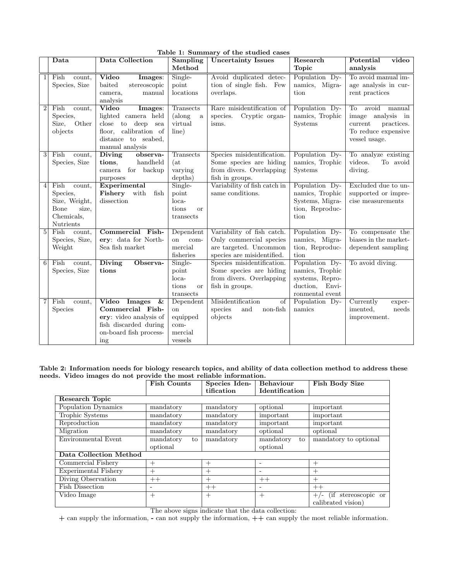|                | Data                                                                                    | Data Collection                                                                                                                    | Sampling                                                             | rapic 1. Danmary or the stadied ease.<br><b>Uncertainty Issues</b>                                            | Research                                                                                  | Potential<br>video                                                                                             |
|----------------|-----------------------------------------------------------------------------------------|------------------------------------------------------------------------------------------------------------------------------------|----------------------------------------------------------------------|---------------------------------------------------------------------------------------------------------------|-------------------------------------------------------------------------------------------|----------------------------------------------------------------------------------------------------------------|
|                |                                                                                         |                                                                                                                                    | Method                                                               |                                                                                                               | <b>Topic</b>                                                                              | analysis                                                                                                       |
| $\mathbf{1}$   | Fish<br>count,<br>Species, Size                                                         | Video<br>Images:<br>baited<br>stereoscopic<br>manual<br>camera.<br>analysis                                                        | Single-<br>point<br>locations                                        | Avoid duplicated detec-<br>tion of single fish. Few<br>overlaps.                                              | Population Dy-<br>namics, Migra-<br>tion                                                  | To avoid manual im-<br>age analysis in cur-<br>rent practices                                                  |
| $\overline{2}$ | Fish<br>count.<br>Species,<br>Other<br>Size,<br>objects                                 | Video<br>Images:<br>lighted camera held<br>close to deep<br>sea<br>floor, calibration of<br>distance to seabed,<br>manual analysis | Transects<br>(along<br>a<br>virtual<br>line)                         | Rare misidentification of<br>Cryptic organ-<br>species.<br>isms.                                              | Population Dy-<br>namics, Trophic<br>Systems                                              | To<br>avoid<br>manual<br>image<br>analysis in<br>current<br>practices.<br>To reduce expensive<br>vessel usage. |
| 3              | Fish<br>count,<br>Species, Size                                                         | Diving<br>observa-<br>handheld<br>tions,<br>camera for backup<br>purposes                                                          | Transects<br>(at)<br>varying<br>depths)                              | Species misidentification.<br>Some species are hiding<br>from divers. Overlapping<br>fish in groups.          | Population Dy-<br>namics, Trophic<br><b>Systems</b>                                       | To analyze existing<br>videos.<br>To avoid<br>diving.                                                          |
| $\overline{4}$ | Fish<br>count,<br>Species,<br>Size, Weight,<br>Bone<br>size,<br>Chemicals,<br>Nutrients | Experimental<br>Fishery with<br>fish<br>dissection                                                                                 | Single-<br>point<br>$loca-$<br>tions<br><b>or</b><br>transects       | Variability of fish catch in<br>same conditions.                                                              | Population Dy-<br>namics, Trophic<br>Systems, Migra-<br>tion, Reproduc-<br>tion           | Excluded due to un-<br>supported or impre-<br>$\!$ cise measurements                                           |
| $\overline{5}$ | Fish<br>count,<br>Species, Size,<br>Weight                                              | Commercial Fish-<br>ery: data for North-<br>Sea fish market                                                                        | Dependent<br><sub>on</sub><br>com-<br>mercial<br>fisheries           | Variability of fish catch.<br>Only commercial species<br>are targeted. Uncommon<br>species are misidentified. | Population Dy-<br>namics, Migra-<br>tion, Reproduc-<br>tion                               | To compensate the<br>biases in the market-<br>dependent sampling                                               |
| 6 <sup>1</sup> | Fish<br>count,<br>Species, Size                                                         | <b>Diving</b><br>Observa-<br>tions                                                                                                 | Single-<br>point<br>$loca-$<br>tions<br><b>or</b><br>transects       | Species misidentification.<br>Some species are hiding<br>from divers. Overlapping<br>fish in groups.          | Population Dy-<br>namics, Trophic<br>systems, Repro-<br>duction, Envi-<br>ronmental event | To avoid diving.                                                                                               |
| $\overline{7}$ | Fish<br>count,<br><b>Species</b>                                                        | Video Images<br>&<br>Commercial Fish-<br>ery: video analysis of<br>fish discarded during<br>on-board fish process-<br>ing          | Dependent<br><sub>on</sub><br>equipped<br>com-<br>mercial<br>vessels | Misidentification<br>of<br>species<br>and<br>non-fish<br>objects                                              | Population Dy-<br>namics                                                                  | Currently<br>exper-<br>imented,<br>needs<br>improvement.                                                       |

#### Table 1: Summary of the studied cases

Table 2: Information needs for biology research topics, and ability of data collection method to address these needs. Video images do not provide the most reliable information.

|                        | <b>Fish Counts</b> | Species Iden- | <b>Behaviour</b>         | <b>Fish Body Size</b>           |  |  |  |  |  |
|------------------------|--------------------|---------------|--------------------------|---------------------------------|--|--|--|--|--|
|                        |                    | tification    | Identification           |                                 |  |  |  |  |  |
| Research Topic         |                    |               |                          |                                 |  |  |  |  |  |
| Population Dynamics    | mandatory          | mandatory     | optional                 | important                       |  |  |  |  |  |
| Trophic Systems        | mandatory          | mandatory     | important                | important                       |  |  |  |  |  |
| Reproduction           | mandatory          | mandatory     | important                | important                       |  |  |  |  |  |
| Migration              | mandatory          | mandatory     | optional                 | optional                        |  |  |  |  |  |
| Environmental Event    | mandatory<br>to    | mandatory     | mandatory<br>to          | mandatory to optional           |  |  |  |  |  |
|                        | optional           |               | optional                 |                                 |  |  |  |  |  |
| Data Collection Method |                    |               |                          |                                 |  |  |  |  |  |
| Commercial Fishery     | $^{+}$             | $^{+}$        |                          | $^{+}$                          |  |  |  |  |  |
| Experimental Fishery   | $^{+}$             | $^{+}$        | $\overline{\phantom{0}}$ | $^{+}$                          |  |  |  |  |  |
| Diving Observation     | $++$               | $^{+}$        | $++$                     | $^{+}$                          |  |  |  |  |  |
| <b>Fish Dissection</b> |                    | $++$          | $\overline{\phantom{0}}$ | $++$                            |  |  |  |  |  |
| Video Image            | $^{+}$             | $^{+}$        | $+$                      | stereoscopic or<br>(ii<br>$+/-$ |  |  |  |  |  |
|                        |                    |               |                          | calibrated vision)              |  |  |  |  |  |

The above signs indicate that the data collection:

+ can supply the information, - can not supply the information, ++ can supply the most reliable information.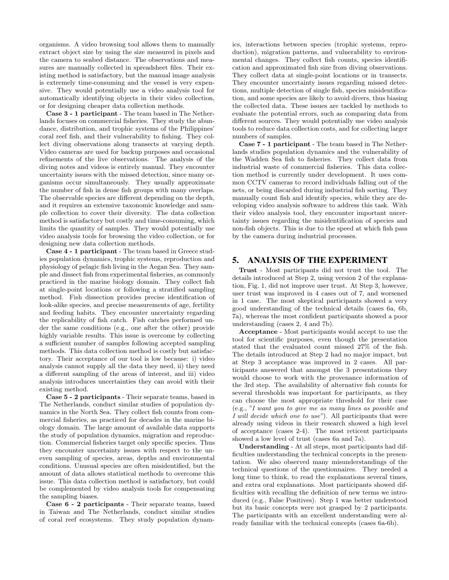organisms. A video browsing tool allows them to manually extract object size by using the size measured in pixels and the camera to seabed distance. The observations and measures are manually collected in spreadsheet files. Their existing method is satisfactory, but the manual image analysis is extremely time-consuming and the vessel is very expensive. They would potentially use a video analysis tool for automatically identifying objects in their video collection, or for designing cheaper data collection methods.

Case 3 - 1 participant - The team based in The Netherlands focuses on commercial fisheries. They study the abundance, distribution, and trophic systems of the Philippines' coral reef fish, and their vulnerability to fishing. They collect diving observations along transects at varying depth. Video cameras are used for backup purposes and occasional refinements of the live observations. The analysis of the diving notes and videos is entirely manual. They encounter uncertainty issues with the missed detection, since many organisms occur simultaneously. They usually approximate the number of fish in dense fish groups with many overlaps. The observable species are different depending on the depth, and it requires an extensive taxonomic knowledge and sample collection to cover their diversity. The data collection method is satisfactory but costly and time-consuming, which limits the quantity of samples. They would potentially use video analysis tools for browsing the video collection, or for designing new data collection methods.

Case 4 - 1 participant - The team based in Greece studies population dynamics, trophic systems, reproduction and physiology of pelagic fish living in the Aegan Sea. They sample and dissect fish from experimental fisheries, as commonly practiced in the marine biology domain. They collect fish at single-point locations or following a stratified sampling method. Fish dissection provides precise identification of look-alike species, and precise measurements of age, fertility and feeding habits. They encounter uncertainty regarding the replicability of fish catch. Fish catches performed under the same conditions (e.g., one after the other) provide highly variable results. This issue is overcome by collecting a sufficient number of samples following accepted sampling methods. This data collection method is costly but satisfactory. Their acceptance of our tool is low because: i) video analysis cannot supply all the data they need, ii) they need a different sampling of the areas of interest, and iii) video analysis introduces uncertainties they can avoid with their existing method.

Case 5 - 2 participants - Their separate teams, based in The Netherlands, conduct similar studies of population dynamics in the North Sea. They collect fish counts from commercial fisheries, as practiced for decades in the marine biology domain. The large amount of available data supports the study of population dynamics, migration and reproduction. Commercial fisheries target only specific species. Thus they encounter uncertainty issues with respect to the uneven sampling of species, areas, depths and environmental conditions. Unusual species are often misidentified, but the amount of data allows statistical methods to overcome this issue. This data collection method is satisfactory, but could be complemented by video analysis tools for compensating the sampling biases.

Case 6 - 2 participants - Their separate teams, based in Taiwan and The Netherlands, conduct similar studies of coral reef ecosystems. They study population dynamics, interactions between species (trophic systems, reproduction), migration patterns, and vulnerability to environmental changes. They collect fish counts, species identification and approximated fish size from diving observations. They collect data at single-point locations or in transects. They encounter uncertainty issues regarding missed detections, multiple detection of single fish, species misidentification, and some species are likely to avoid divers, thus biasing the collected data. These issues are tackled by methods to evaluate the potential errors, such as comparing data from different sources. They would potentially use video analysis tools to reduce data collection costs, and for collecting larger numbers of samples.

Case 7 - 1 participant - The team based in The Netherlands studies population dynamics and the vulnerability of the Wadden Sea fish to fisheries. They collect data from industrial waste of commercial fisheries. This data collection method is currently under development. It uses common CCTV cameras to record individuals falling out of the nets, or being discarded during industrial fish sorting. They manually count fish and identify species, while they are developing video analysis software to address this task. With their video analysis tool, they encounter important uncertainty issues regarding the misidentification of species and non-fish objects. This is due to the speed at which fish pass by the camera during industrial processes.

## 5. ANALYSIS OF THE EXPERIMENT

Trust - Most participants did not trust the tool. The details introduced at Step 2, using version 2 of the explanation, Fig. 1, did not improve user trust. At Step 3, however, user trust was improved in 4 cases out of 7, and worsened in 1 case. The most skeptical participants showed a very good understanding of the technical details (cases 6a, 6b, 7a), whereas the most confident participants showed a poor understanding (cases 2, 4 and 7b).

Acceptance - Most participants would accept to use the tool for scientific purposes, even though the presentation stated that the evaluated count missed 27% of the fish. The details introduced at Step 2 had no major impact, but at Step 3 acceptance was improved in 2 cases. All participants answered that amongst the 3 presentations they would choose to work with the provenance information of the 3rd step. The availability of alternative fish counts for several thresholds was important for participants, as they can choose the most appropriate threshold for their case (e.g., "I want you to give me as many lines as possible and I will decide which one to use"). All participants that were already using videos in their research showed a high level of acceptance (cases 2-4). The most reticent participants showed a low level of trust (cases 6a and 7a).

Understanding - At all steps, most participants had difficulties understanding the technical concepts in the presentation. We also observed many misunderstandings of the technical questions of the questionnaires. They needed a long time to think, to read the explanations several times, and extra oral explanations. Most participants showed difficulties with recalling the definition of new terms we introduced (e.g., False Positives). Step 1 was better understood but its basic concepts were not grasped by 2 participants. The participants with an excellent understanding were already familiar with the technical concepts (cases 6a-6b).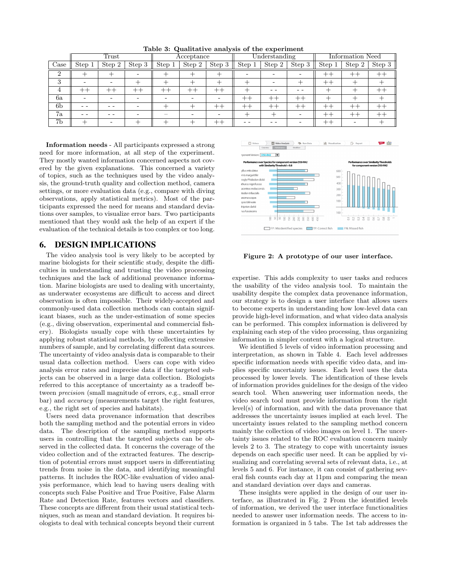|                | Trust   |        |        | Acceptance |        | Understanding |        | Information Need |                    |         |         |                  |
|----------------|---------|--------|--------|------------|--------|---------------|--------|------------------|--------------------|---------|---------|------------------|
| Case           | Step 1  | Step 2 | Step 3 | Step 1     | Step 2 | Step 3        | Step 1 | Step 2           | Step $3 \parallel$ | Step 1  | Step 2  | Step 3           |
| $\Omega$       |         |        | -      |            |        |               |        |                  |                    | $^{++}$ | $^{++}$ |                  |
| 3              |         |        |        |            |        |               |        |                  |                    | $^{++}$ |         |                  |
|                | $^{++}$ | $+ +$  | $+ +$  | $+ +$      | $+ +$  | $- -$         |        |                  |                    |         |         |                  |
| 6a             |         |        | -      | -          |        |               | $+ +$  | $^{++}$          | $^{++}$            |         | --      |                  |
| 6 <sub>b</sub> |         |        |        |            |        |               | $+ +$  | $+ +$            | $+ +$              | $^{++}$ | $+ +$   | $^{\mathrm{++}}$ |
| 7a             |         |        |        | -          |        |               |        |                  |                    | $^{++}$ | $+ +$   | $+ +$            |
| 7b             |         |        |        |            |        |               |        |                  |                    | $^{++}$ |         |                  |

Table 3: Qualitative analysis of the experiment

Information needs - All participants expressed a strong need for more information, at all step of the experiment. They mostly wanted information concerned aspects not covered by the given explanations. This concerned a variety of topics, such as the techniques used by the video analysis, the ground-truth quality and collection method, camera settings, or more evaluation data (e.g., compare with diving observations, apply statistical metrics). Most of the participants expressed the need for means and standard deviations over samples, to visualize error bars. Two participants mentioned that they would ask the help of an expert if the evaluation of the technical details is too complex or too long.

#### 6. DESIGN IMPLICATIONS

The video analysis tool is very likely to be accepted by marine biologists for their scientific study, despite the difficulties in understanding and trusting the video processing techniques and the lack of additional provenance information. Marine biologists are used to dealing with uncertainty, as underwater ecosystems are difficult to access and direct observation is often impossible. Their widely-accepted and commonly-used data collection methods can contain significant biases, such as the under-estimation of some species (e.g., diving observation, experimental and commercial fishery). Biologists usually cope with these uncertainties by applying robust statistical methods, by collecting extensive numbers of sample, and by correlating different data sources. The uncertainty of video analysis data is comparable to their usual data collection method. Users can cope with video analysis error rates and imprecise data if the targeted subjects can be observed in a large data collection. Biologists referred to this acceptance of uncertainty as a tradeoff between precision (small magnitude of errors, e.g., small error bar) and accuracy (measurements target the right features, e.g., the right set of species and habitats).

Users need data provenance information that describes both the sampling method and the potential errors in video data. The description of the sampling method supports users in controlling that the targeted subjects can be observed in the collected data. It concerns the coverage of the video collection and of the extracted features. The description of potential errors must support users in differentiating trends from noise in the data, and identifying meaningful patterns. It includes the ROC-like evaluation of video analysis performance, which lead to having users dealing with concepts such False Positive and True Positive, False Alarm Rate and Detection Rate, features vectors and classifiers. These concepts are different from their usual statistical techniques, such as mean and standard deviation. It requires biologists to deal with technical concepts beyond their current



Figure 2: A prototype of our user interface.

expertise. This adds complexity to user tasks and reduces the usability of the video analysis tool. To maintain the usability despite the complex data provenance information, our strategy is to design a user interface that allows users to become experts in understanding how low-level data can provide high-level information, and what video data analysis can be performed. This complex information is delivered by explaining each step of the video processing, thus organizing information in simpler content with a logical structure.

We identified 5 levels of video information processing and interpretation, as shown in Table 4. Each level addresses specific information needs with specific video data, and implies specific uncertainty issues. Each level uses the data processed by lower levels. The identification of these levels of information provides guidelines for the design of the video search tool. When answering user information needs, the video search tool must provide information from the right level(s) of information, and with the data provenance that addresses the uncertainty issues implied at each level. The uncertainty issues related to the sampling method concern mainly the collection of video images on level 1. The uncertainty issues related to the ROC evaluation concern mainly levels 2 to 3. The strategy to cope with uncertainty issues depends on each specific user need. It can be applied by visualizing and correlating several sets of relevant data, i.e., at levels 5 and 6. For instance, it can consist of gathering several fish counts each day at 11pm and comparing the mean and standard deviation over days and cameras.

These insights were applied in the design of our user interface, as illustrated in Fig. 2 From the identified levels of information, we derived the user interface functionalities needed to answer user information needs. The access to information is organized in 5 tabs. The 1st tab addresses the